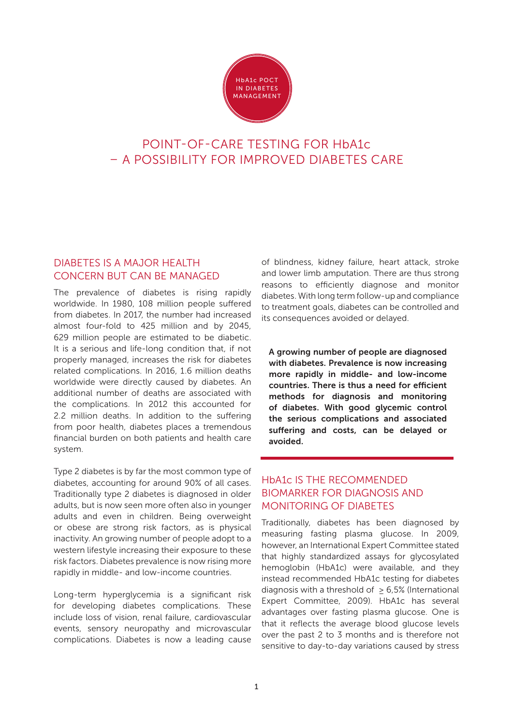

# POINT-OF-CARE TESTING FOR HbA1c – A POSSIBILITY FOR IMPROVED DIABETES CARE

## DIABETES IS A MAJOR HEALTH CONCERN BUT CAN BE MANAGED

The prevalence of diabetes is rising rapidly worldwide. In 1980, 108 million people suffered from diabetes. In 2017, the number had increased almost four-fold to 425 million and by 2045, 629 million people are estimated to be diabetic. It is a serious and life-long condition that, if not properly managed, increases the risk for diabetes related complications. In 2016, 1.6 million deaths worldwide were directly caused by diabetes. An additional number of deaths are associated with the complications. In 2012 this accounted for 2.2 million deaths. In addition to the suffering from poor health, diabetes places a tremendous financial burden on both patients and health care system.

Type 2 diabetes is by far the most common type of diabetes, accounting for around 90% of all cases. Traditionally type 2 diabetes is diagnosed in older adults, but is now seen more often also in younger adults and even in children. Being overweight or obese are strong risk factors, as is physical inactivity. An growing number of people adopt to a western lifestyle increasing their exposure to these risk factors. Diabetes prevalence is now rising more rapidly in middle- and low-income countries.

Long-term hyperglycemia is a significant risk for developing diabetes complications. These include loss of vision, renal failure, cardiovascular events, sensory neuropathy and microvascular complications. Diabetes is now a leading cause

of blindness, kidney failure, heart attack, stroke and lower limb amputation. There are thus strong reasons to efficiently diagnose and monitor diabetes. With long term follow-up and compliance to treatment goals, diabetes can be controlled and its consequences avoided or delayed.

A growing number of people are diagnosed with diabetes. Prevalence is now increasing more rapidly in middle- and low-income countries. There is thus a need for efficient methods for diagnosis and monitoring of diabetes. With good glycemic control the serious complications and associated suffering and costs, can be delayed or avoided.

\_\_\_\_\_\_\_\_\_\_\_\_\_\_\_\_\_\_\_\_\_\_\_\_\_\_\_\_\_\_\_\_\_\_\_\_\_\_

# HbA1c IS THE RECOMMENDED BIOMARKER FOR DIAGNOSIS AND MONITORING OF DIABETES

Traditionally, diabetes has been diagnosed by measuring fasting plasma glucose. In 2009, however, an International Expert Committee stated that highly standardized assays for glycosylated hemoglobin (HbA1c) were available, and they instead recommended HbA1c testing for diabetes diagnosis with a threshold of ≥ 6,5% (International Expert Committee, 2009). HbA1c has several advantages over fasting plasma glucose. One is that it reflects the average blood glucose levels over the past 2 to 3 months and is therefore not sensitive to day-to-day variations caused by stress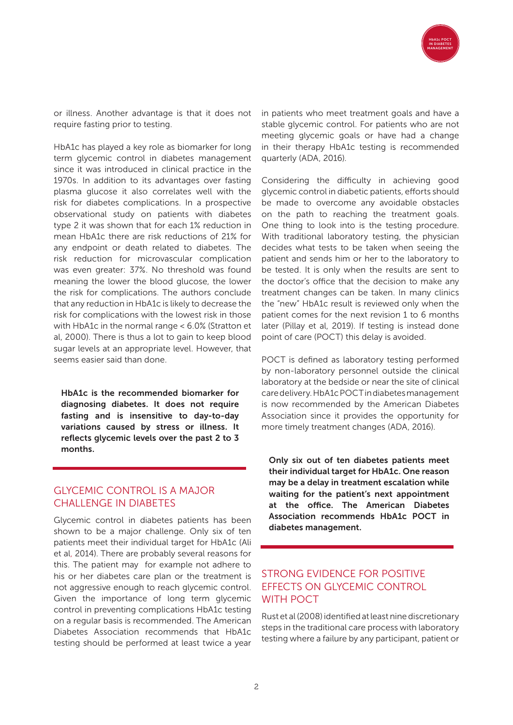

or illness. Another advantage is that it does not require fasting prior to testing.

HbA1c has played a key role as biomarker for long term glycemic control in diabetes management since it was introduced in clinical practice in the 1970s. In addition to its advantages over fasting plasma glucose it also correlates well with the risk for diabetes complications. In a prospective observational study on patients with diabetes type 2 it was shown that for each 1% reduction in mean HbA1c there are risk reductions of 21% for any endpoint or death related to diabetes. The risk reduction for microvascular complication was even greater: 37%. No threshold was found meaning the lower the blood glucose, the lower the risk for complications. The authors conclude that any reduction in HbA1c is likely to decrease the risk for complications with the lowest risk in those with HbA1c in the normal range < 6.0% (Stratton et al, 2000). There is thus a lot to gain to keep blood sugar levels at an appropriate level. However, that seems easier said than done.

HbA1c is the recommended biomarker for diagnosing diabetes. It does not require fasting and is insensitive to day-to-day variations caused by stress or illness. It reflects glycemic levels over the past 2 to 3 months.

\_\_\_\_\_\_\_\_\_\_\_\_\_\_\_\_\_\_\_\_\_\_\_\_\_\_\_\_\_\_\_\_\_\_\_\_\_\_

#### GLYCEMIC CONTROL IS A MAJOR CHALLENGE IN DIABETES

Glycemic control in diabetes patients has been shown to be a major challenge. Only six of ten patients meet their individual target for HbA1c (Ali et al, 2014). There are probably several reasons for this. The patient may for example not adhere to his or her diabetes care plan or the treatment is not aggressive enough to reach glycemic control. Given the importance of long term glycemic control in preventing complications HbA1c testing on a regular basis is recommended. The American Diabetes Association recommends that HbA1c testing should be performed at least twice a year in patients who meet treatment goals and have a stable glycemic control. For patients who are not meeting glycemic goals or have had a change in their therapy HbA1c testing is recommended quarterly (ADA, 2016).

Considering the difficulty in achieving good glycemic control in diabetic patients, efforts should be made to overcome any avoidable obstacles on the path to reaching the treatment goals. One thing to look into is the testing procedure. With traditional laboratory testing, the physician decides what tests to be taken when seeing the patient and sends him or her to the laboratory to be tested. It is only when the results are sent to the doctor's office that the decision to make any treatment changes can be taken. In many clinics the "new" HbA1c result is reviewed only when the patient comes for the next revision 1 to 6 months later (Pillay et al, 2019). If testing is instead done point of care (POCT) this delay is avoided.

POCT is defined as laboratory testing performed by non-laboratory personnel outside the clinical laboratory at the bedside or near the site of clinical care delivery. HbA1c POCT in diabetes management is now recommended by the American Diabetes Association since it provides the opportunity for more timely treatment changes (ADA, 2016).

Only six out of ten diabetes patients meet their individual target for HbA1c. One reason may be a delay in treatment escalation while waiting for the patient's next appointment at the office. The American Diabetes Association recommends HbA1c POCT in diabetes management.

\_\_\_\_\_\_\_\_\_\_\_\_\_\_\_\_\_\_\_\_\_\_\_\_\_\_\_\_\_\_\_\_\_\_\_\_\_\_

# STRONG EVIDENCE FOR POSITIVE EFFECTS ON GLYCEMIC CONTROL WITH POCT

Rust et al (2008) identified at least nine discretionary steps in the traditional care process with laboratory testing where a failure by any participant, patient or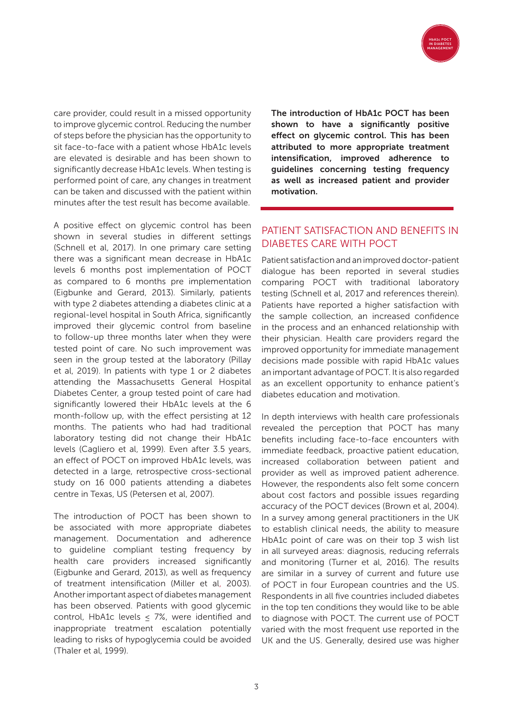

care provider, could result in a missed opportunity to improve glycemic control. Reducing the number of steps before the physician has the opportunity to sit face-to-face with a patient whose HbA1c levels are elevated is desirable and has been shown to significantly decrease HbA1c levels. When testing is performed point of care, any changes in treatment can be taken and discussed with the patient within minutes after the test result has become available.

A positive effect on glycemic control has been shown in several studies in different settings (Schnell et al, 2017). In one primary care setting there was a significant mean decrease in HbA1c levels 6 months post implementation of POCT as compared to 6 months pre implementation (Eigbunke and Gerard, 2013). Similarly, patients with type 2 diabetes attending a diabetes clinic at a regional-level hospital in South Africa, significantly improved their glycemic control from baseline to follow-up three months later when they were tested point of care. No such improvement was seen in the group tested at the laboratory (Pillay et al, 2019). In patients with type 1 or 2 diabetes attending the Massachusetts General Hospital Diabetes Center, a group tested point of care had significantly lowered their HbA1c levels at the 6 month-follow up, with the effect persisting at 12 months. The patients who had had traditional laboratory testing did not change their HbA1c levels (Cagliero et al, 1999). Even after 3.5 years, an effect of POCT on improved HbA1c levels, was detected in a large, retrospective cross-sectional study on 16 000 patients attending a diabetes centre in Texas, US (Petersen et al, 2007).

The introduction of POCT has been shown to be associated with more appropriate diabetes management. Documentation and adherence to guideline compliant testing frequency by health care providers increased significantly (Eigbunke and Gerard, 2013), as well as frequency of treatment intensification (Miller et al, 2003). Another important aspect of diabetes management has been observed. Patients with good glycemic control, HbA1c levels ≤ 7%, were identified and inappropriate treatment escalation potentially leading to risks of hypoglycemia could be avoided (Thaler et al, 1999).

The introduction of HbA1c POCT has been shown to have a significantly positive effect on glycemic control. This has been attributed to more appropriate treatment intensification, improved adherence to guidelines concerning testing frequency as well as increased patient and provider motivation.

# PATIENT SATISFACTION AND BENEFITS IN DIABETES CARE WITH POCT

\_\_\_\_\_\_\_\_\_\_\_\_\_\_\_\_\_\_\_\_\_\_\_\_\_\_\_\_\_\_\_\_\_\_\_\_\_\_

Patient satisfaction and an improved doctor-patient dialogue has been reported in several studies comparing POCT with traditional laboratory testing (Schnell et al, 2017 and references therein). Patients have reported a higher satisfaction with the sample collection, an increased confidence in the process and an enhanced relationship with their physician. Health care providers regard the improved opportunity for immediate management decisions made possible with rapid HbA1c values an important advantage of POCT. It is also regarded as an excellent opportunity to enhance patient's diabetes education and motivation.

In depth interviews with health care professionals revealed the perception that POCT has many benefits including face-to-face encounters with immediate feedback, proactive patient education, increased collaboration between patient and provider as well as improved patient adherence. However, the respondents also felt some concern about cost factors and possible issues regarding accuracy of the POCT devices (Brown et al, 2004). In a survey among general practitioners in the UK to establish clinical needs, the ability to measure HbA1c point of care was on their top 3 wish list in all surveyed areas: diagnosis, reducing referrals and monitoring (Turner et al, 2016). The results are similar in a survey of current and future use of POCT in four European countries and the US. Respondents in all five countries included diabetes in the top ten conditions they would like to be able to diagnose with POCT. The current use of POCT varied with the most frequent use reported in the UK and the US. Generally, desired use was higher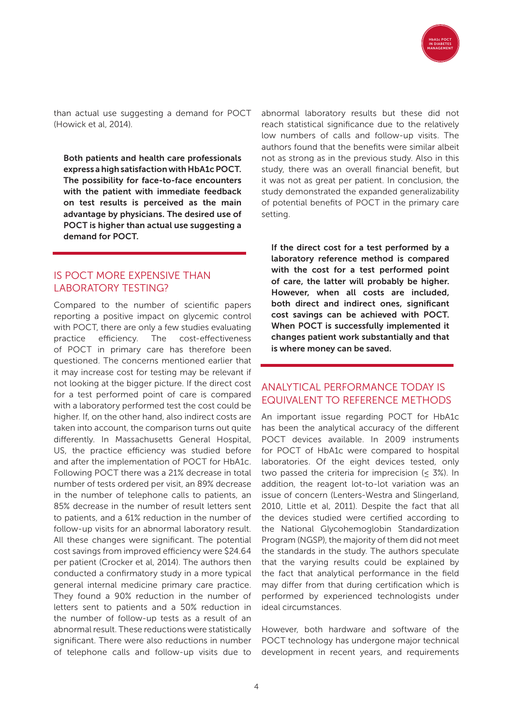

than actual use suggesting a demand for POCT (Howick et al, 2014).

Both patients and health care professionals express a high satisfaction with HbA1c POCT. The possibility for face-to-face encounters with the patient with immediate feedback on test results is perceived as the main advantage by physicians. The desired use of POCT is higher than actual use suggesting a demand for POCT.

\_\_\_\_\_\_\_\_\_\_\_\_\_\_\_\_\_\_\_\_\_\_\_\_\_\_\_\_\_\_\_\_\_\_\_\_\_\_

#### IS POCT MORE EXPENSIVE THAN LABORATORY TESTING?

Compared to the number of scientific papers reporting a positive impact on glycemic control with POCT, there are only a few studies evaluating practice efficiency. The cost-effectiveness of POCT in primary care has therefore been questioned. The concerns mentioned earlier that it may increase cost for testing may be relevant if not looking at the bigger picture. If the direct cost for a test performed point of care is compared with a laboratory performed test the cost could be higher. If, on the other hand, also indirect costs are taken into account, the comparison turns out quite differently. In Massachusetts General Hospital, US, the practice efficiency was studied before and after the implementation of POCT for HbA1c. Following POCT there was a 21% decrease in total number of tests ordered per visit, an 89% decrease in the number of telephone calls to patients, an 85% decrease in the number of result letters sent to patients, and a 61% reduction in the number of follow-up visits for an abnormal laboratory result. All these changes were significant. The potential cost savings from improved efficiency were \$24.64 per patient (Crocker et al, 2014). The authors then conducted a confirmatory study in a more typical general internal medicine primary care practice. They found a 90% reduction in the number of letters sent to patients and a 50% reduction in the number of follow-up tests as a result of an abnormal result. These reductions were statistically significant. There were also reductions in number of telephone calls and follow-up visits due to

abnormal laboratory results but these did not reach statistical significance due to the relatively low numbers of calls and follow-up visits. The authors found that the benefits were similar albeit not as strong as in the previous study. Also in this study, there was an overall financial benefit, but it was not as great per patient. In conclusion, the study demonstrated the expanded generalizability of potential benefits of POCT in the primary care setting.

If the direct cost for a test performed by a laboratory reference method is compared with the cost for a test performed point of care, the latter will probably be higher. However, when all costs are included, both direct and indirect ones, significant cost savings can be achieved with POCT. When POCT is successfully implemented it changes patient work substantially and that is where money can be saved.

## ANALYTICAL PERFORMANCE TODAY IS EQUIVALENT TO REFERENCE METHODS

\_\_\_\_\_\_\_\_\_\_\_\_\_\_\_\_\_\_\_\_\_\_\_\_\_\_\_\_\_\_\_\_\_\_\_\_\_\_

An important issue regarding POCT for HbA1c has been the analytical accuracy of the different POCT devices available. In 2009 instruments for POCT of HbA1c were compared to hospital laboratories. Of the eight devices tested, only two passed the criteria for imprecision  $\leq$  3%). In addition, the reagent lot-to-lot variation was an issue of concern (Lenters-Westra and Slingerland, 2010, Little et al, 2011). Despite the fact that all the devices studied were certified according to the National Glycohemoglobin Standardization Program (NGSP), the majority of them did not meet the standards in the study. The authors speculate that the varying results could be explained by the fact that analytical performance in the field may differ from that during certification which is performed by experienced technologists under ideal circumstances.

However, both hardware and software of the POCT technology has undergone major technical development in recent years, and requirements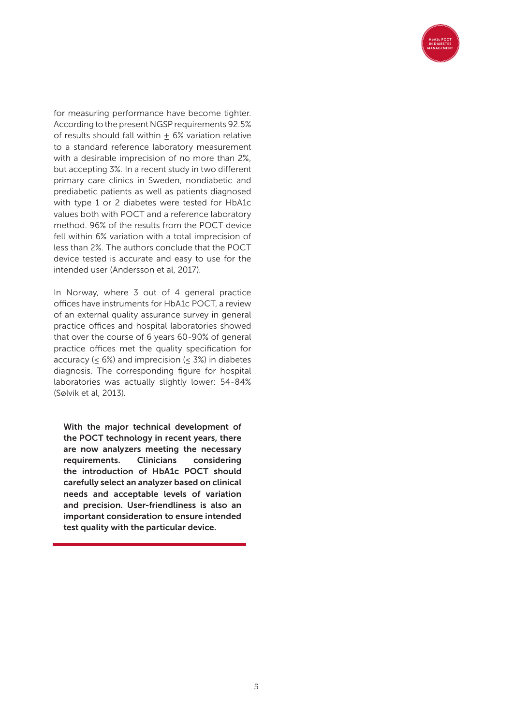

for measuring performance have become tighter. According to the present NGSP requirements 92.5% of results should fall within  $\pm$  6% variation relative to a standard reference laboratory measurement with a desirable imprecision of no more than 2%, but accepting 3%. In a recent study in two different primary care clinics in Sweden, nondiabetic and prediabetic patients as well as patients diagnosed with type 1 or 2 diabetes were tested for HbA1c values both with POCT and a reference laboratory method. 96% of the results from the POCT device fell within 6% variation with a total imprecision of less than 2%. The authors conclude that the POCT device tested is accurate and easy to use for the intended user (Andersson et al, 2017).

In Norway, where 3 out of 4 general practice offices have instruments for HbA1c POCT, a review of an external quality assurance survey in general practice offices and hospital laboratories showed that over the course of 6 years 60-90% of general practice offices met the quality specification for accuracy  $(< 6\%)$  and imprecision  $(< 3\%)$  in diabetes diagnosis. The corresponding figure for hospital laboratories was actually slightly lower: 54-84% (Sølvik et al, 2013).

With the major technical development of the POCT technology in recent years, there are now analyzers meeting the necessary requirements. Clinicians considering the introduction of HbA1c POCT should carefully select an analyzer based on clinical needs and acceptable levels of variation and precision. User-friendliness is also an important consideration to ensure intended test quality with the particular device.

\_\_\_\_\_\_\_\_\_\_\_\_\_\_\_\_\_\_\_\_\_\_\_\_\_\_\_\_\_\_\_\_\_\_\_\_\_\_